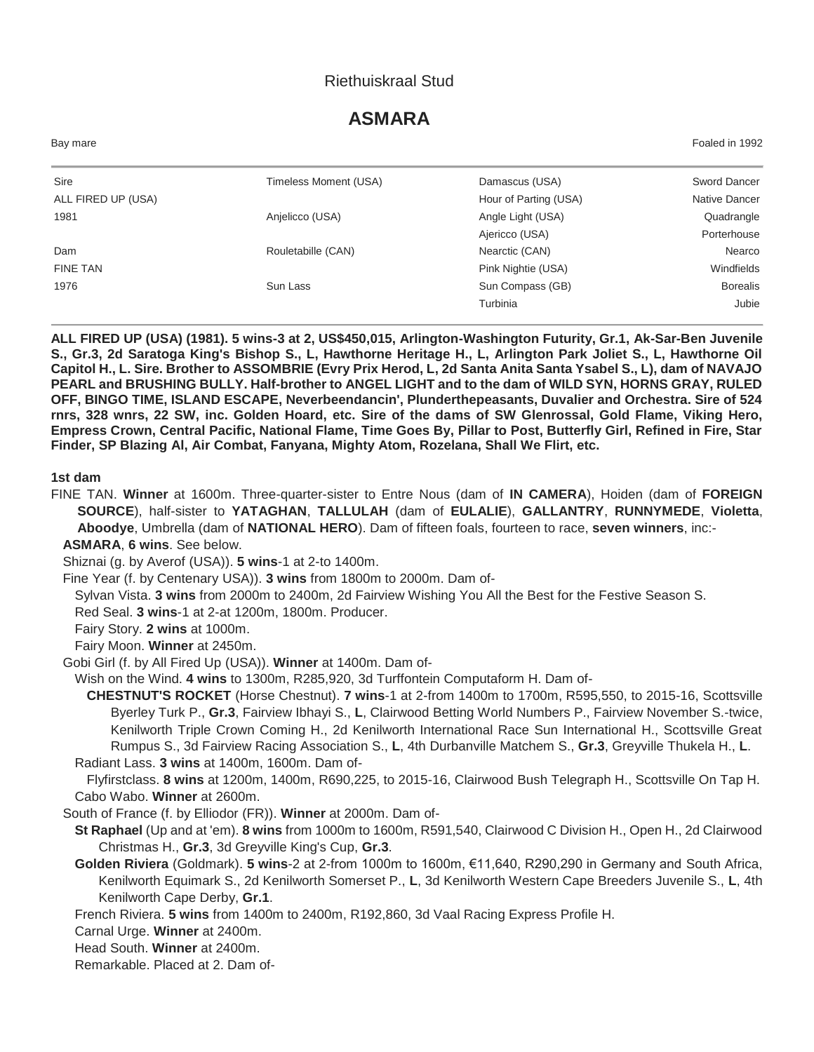## Riethuiskraal Stud

# **ASMARA**

| Bay mare           |                       |                       | Foaled in 1992  |
|--------------------|-----------------------|-----------------------|-----------------|
| Sire               | Timeless Moment (USA) | Damascus (USA)        | Sword Dancer    |
| ALL FIRED UP (USA) |                       | Hour of Parting (USA) | Native Dancer   |
| 1981               | Anjelicco (USA)       | Angle Light (USA)     | Quadrangle      |
|                    |                       | Ajericco (USA)        | Porterhouse     |
| Dam                | Rouletabille (CAN)    | Nearctic (CAN)        | Nearco          |
| <b>FINE TAN</b>    |                       | Pink Nightie (USA)    | Windfields      |
| 1976               | Sun Lass              | Sun Compass (GB)      | <b>Borealis</b> |
|                    |                       | Turbinia              | Jubie           |

**ALL FIRED UP (USA) (1981). 5 wins-3 at 2, US\$450,015, Arlington-Washington Futurity, Gr.1, Ak-Sar-Ben Juvenile S., Gr.3, 2d Saratoga King's Bishop S., L, Hawthorne Heritage H., L, Arlington Park Joliet S., L, Hawthorne Oil Capitol H., L. Sire. Brother to ASSOMBRIE (Evry Prix Herod, L, 2d Santa Anita Santa Ysabel S., L), dam of NAVAJO PEARL and BRUSHING BULLY. Half-brother to ANGEL LIGHT and to the dam of WILD SYN, HORNS GRAY, RULED OFF, BINGO TIME, ISLAND ESCAPE, Neverbeendancin', Plunderthepeasants, Duvalier and Orchestra. Sire of 524 rnrs, 328 wnrs, 22 SW, inc. Golden Hoard, etc. Sire of the dams of SW Glenrossal, Gold Flame, Viking Hero, Empress Crown, Central Pacific, National Flame, Time Goes By, Pillar to Post, Butterfly Girl, Refined in Fire, Star Finder, SP Blazing Al, Air Combat, Fanyana, Mighty Atom, Rozelana, Shall We Flirt, etc.**

#### **1st dam**

FINE TAN. **Winner** at 1600m. Three-quarter-sister to Entre Nous (dam of **IN CAMERA**), Hoiden (dam of **FOREIGN SOURCE**), half-sister to **YATAGHAN**, **TALLULAH** (dam of **EULALIE**), **GALLANTRY**, **RUNNYMEDE**, **Violetta**, **Aboodye**, Umbrella (dam of **NATIONAL HERO**). Dam of fifteen foals, fourteen to race, **seven winners**, inc:-

#### **ASMARA**, **6 wins**. See below.

Shiznai (g. by Averof (USA)). **5 wins**-1 at 2-to 1400m.

Fine Year (f. by Centenary USA)). **3 wins** from 1800m to 2000m. Dam of-

Sylvan Vista. **3 wins** from 2000m to 2400m, 2d Fairview Wishing You All the Best for the Festive Season S.

Red Seal. **3 wins**-1 at 2-at 1200m, 1800m. Producer.

Fairy Story. **2 wins** at 1000m.

Fairy Moon. **Winner** at 2450m.

Gobi Girl (f. by All Fired Up (USA)). **Winner** at 1400m. Dam of-

Wish on the Wind. **4 wins** to 1300m, R285,920, 3d Turffontein Computaform H. Dam of-

**CHESTNUT'S ROCKET** (Horse Chestnut). **7 wins**-1 at 2-from 1400m to 1700m, R595,550, to 2015-16, Scottsville Byerley Turk P., **Gr.3**, Fairview Ibhayi S., **L**, Clairwood Betting World Numbers P., Fairview November S.-twice, Kenilworth Triple Crown Coming H., 2d Kenilworth International Race Sun International H., Scottsville Great Rumpus S., 3d Fairview Racing Association S., **L**, 4th Durbanville Matchem S., **Gr.3**, Greyville Thukela H., **L**. Radiant Lass. **3 wins** at 1400m, 1600m. Dam of-

Flyfirstclass. **8 wins** at 1200m, 1400m, R690,225, to 2015-16, Clairwood Bush Telegraph H., Scottsville On Tap H. Cabo Wabo. **Winner** at 2600m.

South of France (f. by Elliodor (FR)). **Winner** at 2000m. Dam of-

**St Raphael** (Up and at 'em). **8 wins** from 1000m to 1600m, R591,540, Clairwood C Division H., Open H., 2d Clairwood Christmas H., **Gr.3**, 3d Greyville King's Cup, **Gr.3**.

**Golden Riviera** (Goldmark). **5 wins**-2 at 2-from 1000m to 1600m, €11,640, R290,290 in Germany and South Africa, Kenilworth Equimark S., 2d Kenilworth Somerset P., **L**, 3d Kenilworth Western Cape Breeders Juvenile S., **L**, 4th Kenilworth Cape Derby, **Gr.1**.

French Riviera. **5 wins** from 1400m to 2400m, R192,860, 3d Vaal Racing Express Profile H.

Carnal Urge. **Winner** at 2400m.

Head South. **Winner** at 2400m.

Remarkable. Placed at 2. Dam of-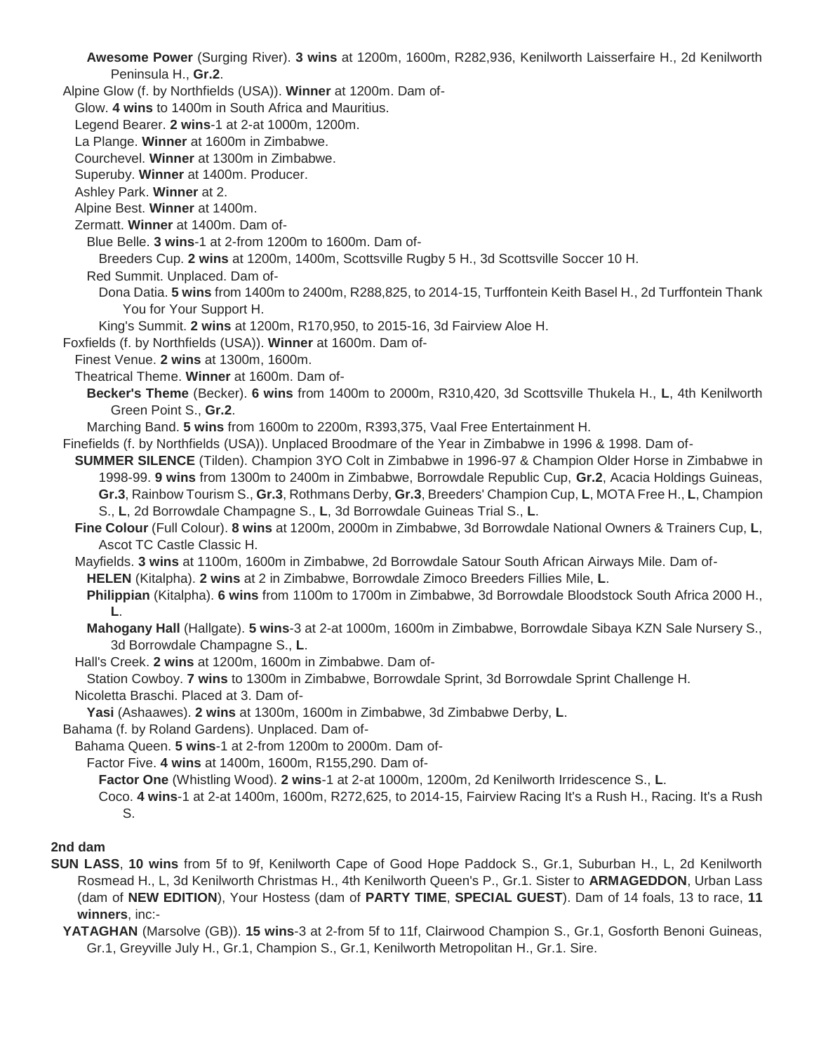**Awesome Power** (Surging River). **3 wins** at 1200m, 1600m, R282,936, Kenilworth Laisserfaire H., 2d Kenilworth Peninsula H., **Gr.2**.

Alpine Glow (f. by Northfields (USA)). **Winner** at 1200m. Dam of-

Glow. **4 wins** to 1400m in South Africa and Mauritius.

Legend Bearer. **2 wins**-1 at 2-at 1000m, 1200m.

La Plange. **Winner** at 1600m in Zimbabwe.

Courchevel. **Winner** at 1300m in Zimbabwe.

Superuby. **Winner** at 1400m. Producer.

Ashley Park. **Winner** at 2.

Alpine Best. **Winner** at 1400m.

Zermatt. **Winner** at 1400m. Dam of-

Blue Belle. **3 wins**-1 at 2-from 1200m to 1600m. Dam of-

Breeders Cup. **2 wins** at 1200m, 1400m, Scottsville Rugby 5 H., 3d Scottsville Soccer 10 H.

Red Summit. Unplaced. Dam of-

Dona Datia. **5 wins** from 1400m to 2400m, R288,825, to 2014-15, Turffontein Keith Basel H., 2d Turffontein Thank You for Your Support H.

King's Summit. **2 wins** at 1200m, R170,950, to 2015-16, 3d Fairview Aloe H.

Foxfields (f. by Northfields (USA)). **Winner** at 1600m. Dam of-

Finest Venue. **2 wins** at 1300m, 1600m.

Theatrical Theme. **Winner** at 1600m. Dam of-

**Becker's Theme** (Becker). **6 wins** from 1400m to 2000m, R310,420, 3d Scottsville Thukela H., **L**, 4th Kenilworth Green Point S., **Gr.2**.

Marching Band. **5 wins** from 1600m to 2200m, R393,375, Vaal Free Entertainment H.

Finefields (f. by Northfields (USA)). Unplaced Broodmare of the Year in Zimbabwe in 1996 & 1998. Dam of-

**SUMMER SILENCE** (Tilden). Champion 3YO Colt in Zimbabwe in 1996-97 & Champion Older Horse in Zimbabwe in 1998-99. **9 wins** from 1300m to 2400m in Zimbabwe, Borrowdale Republic Cup, **Gr.2**, Acacia Holdings Guineas, **Gr.3**, Rainbow Tourism S., **Gr.3**, Rothmans Derby, **Gr.3**, Breeders' Champion Cup, **L**, MOTA Free H., **L**, Champion S., **L**, 2d Borrowdale Champagne S., **L**, 3d Borrowdale Guineas Trial S., **L**.

**Fine Colour** (Full Colour). **8 wins** at 1200m, 2000m in Zimbabwe, 3d Borrowdale National Owners & Trainers Cup, **L**, Ascot TC Castle Classic H.

Mayfields. **3 wins** at 1100m, 1600m in Zimbabwe, 2d Borrowdale Satour South African Airways Mile. Dam of-**HELEN** (Kitalpha). **2 wins** at 2 in Zimbabwe, Borrowdale Zimoco Breeders Fillies Mile, **L**.

**Philippian** (Kitalpha). **6 wins** from 1100m to 1700m in Zimbabwe, 3d Borrowdale Bloodstock South Africa 2000 H., **L**.

**Mahogany Hall** (Hallgate). **5 wins**-3 at 2-at 1000m, 1600m in Zimbabwe, Borrowdale Sibaya KZN Sale Nursery S., 3d Borrowdale Champagne S., **L**.

Hall's Creek. **2 wins** at 1200m, 1600m in Zimbabwe. Dam of-

Station Cowboy. **7 wins** to 1300m in Zimbabwe, Borrowdale Sprint, 3d Borrowdale Sprint Challenge H.

Nicoletta Braschi. Placed at 3. Dam of-

**Yasi** (Ashaawes). **2 wins** at 1300m, 1600m in Zimbabwe, 3d Zimbabwe Derby, **L**.

Bahama (f. by Roland Gardens). Unplaced. Dam of-

Bahama Queen. **5 wins**-1 at 2-from 1200m to 2000m. Dam of-

Factor Five. **4 wins** at 1400m, 1600m, R155,290. Dam of-

**Factor One** (Whistling Wood). **2 wins**-1 at 2-at 1000m, 1200m, 2d Kenilworth Irridescence S., **L**.

Coco. **4 wins**-1 at 2-at 1400m, 1600m, R272,625, to 2014-15, Fairview Racing It's a Rush H., Racing. It's a Rush S.

#### **2nd dam**

**SUN LASS**, **10 wins** from 5f to 9f, Kenilworth Cape of Good Hope Paddock S., Gr.1, Suburban H., L, 2d Kenilworth Rosmead H., L, 3d Kenilworth Christmas H., 4th Kenilworth Queen's P., Gr.1. Sister to **ARMAGEDDON**, Urban Lass (dam of **NEW EDITION**), Your Hostess (dam of **PARTY TIME**, **SPECIAL GUEST**). Dam of 14 foals, 13 to race, **11 winners**, inc:-

**YATAGHAN** (Marsolve (GB)). **15 wins**-3 at 2-from 5f to 11f, Clairwood Champion S., Gr.1, Gosforth Benoni Guineas, Gr.1, Greyville July H., Gr.1, Champion S., Gr.1, Kenilworth Metropolitan H., Gr.1. Sire.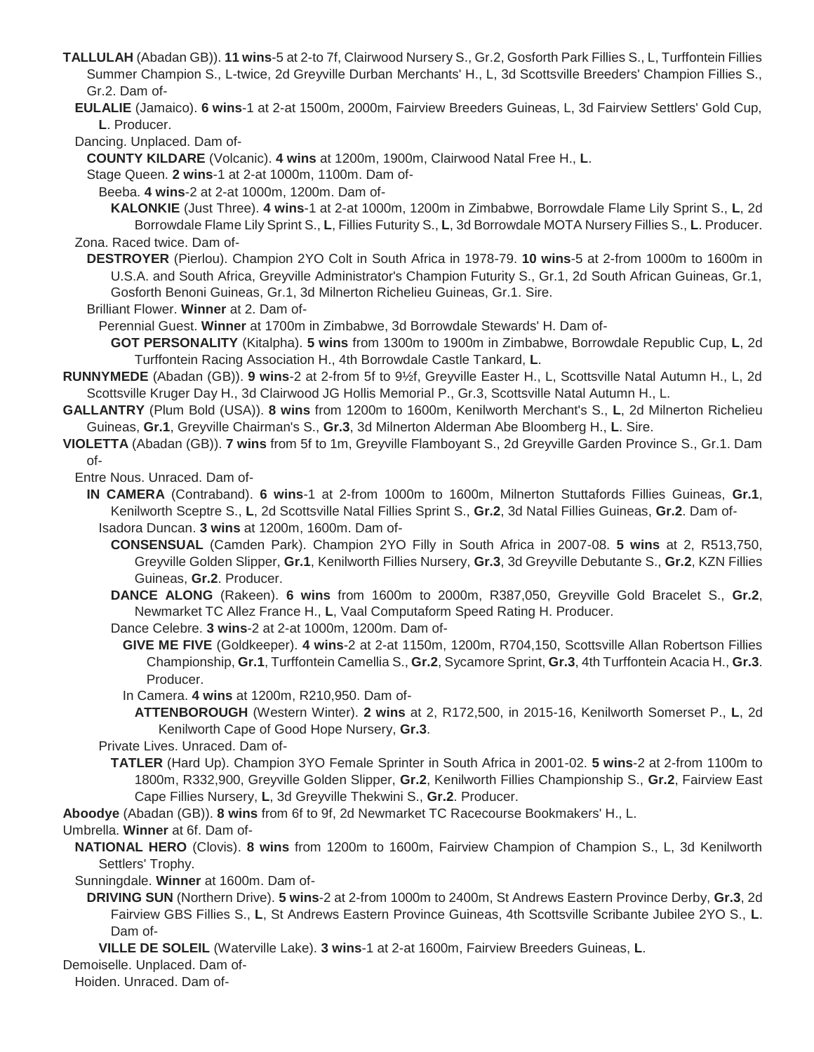**TALLULAH** (Abadan GB)). **11 wins**-5 at 2-to 7f, Clairwood Nursery S., Gr.2, Gosforth Park Fillies S., L, Turffontein Fillies Summer Champion S., L-twice, 2d Greyville Durban Merchants' H., L, 3d Scottsville Breeders' Champion Fillies S., Gr.2. Dam of-

- **EULALIE** (Jamaico). **6 wins**-1 at 2-at 1500m, 2000m, Fairview Breeders Guineas, L, 3d Fairview Settlers' Gold Cup, **L**. Producer.
- Dancing. Unplaced. Dam of-

**COUNTY KILDARE** (Volcanic). **4 wins** at 1200m, 1900m, Clairwood Natal Free H., **L**.

Stage Queen. **2 wins**-1 at 2-at 1000m, 1100m. Dam of-

Beeba. **4 wins**-2 at 2-at 1000m, 1200m. Dam of-

**KALONKIE** (Just Three). **4 wins**-1 at 2-at 1000m, 1200m in Zimbabwe, Borrowdale Flame Lily Sprint S., **L**, 2d Borrowdale Flame Lily Sprint S., **L**, Fillies Futurity S., **L**, 3d Borrowdale MOTA Nursery Fillies S., **L**. Producer. Zona. Raced twice. Dam of-

- **DESTROYER** (Pierlou). Champion 2YO Colt in South Africa in 1978-79. **10 wins**-5 at 2-from 1000m to 1600m in U.S.A. and South Africa, Greyville Administrator's Champion Futurity S., Gr.1, 2d South African Guineas, Gr.1, Gosforth Benoni Guineas, Gr.1, 3d Milnerton Richelieu Guineas, Gr.1. Sire.
- Brilliant Flower. **Winner** at 2. Dam of-

Perennial Guest. **Winner** at 1700m in Zimbabwe, 3d Borrowdale Stewards' H. Dam of-

**GOT PERSONALITY** (Kitalpha). **5 wins** from 1300m to 1900m in Zimbabwe, Borrowdale Republic Cup, **L**, 2d Turffontein Racing Association H., 4th Borrowdale Castle Tankard, **L**.

- **RUNNYMEDE** (Abadan (GB)). **9 wins**-2 at 2-from 5f to 9½f, Greyville Easter H., L, Scottsville Natal Autumn H., L, 2d Scottsville Kruger Day H., 3d Clairwood JG Hollis Memorial P., Gr.3, Scottsville Natal Autumn H., L.
- **GALLANTRY** (Plum Bold (USA)). **8 wins** from 1200m to 1600m, Kenilworth Merchant's S., **L**, 2d Milnerton Richelieu Guineas, **Gr.1**, Greyville Chairman's S., **Gr.3**, 3d Milnerton Alderman Abe Bloomberg H., **L**. Sire.
- **VIOLETTA** (Abadan (GB)). **7 wins** from 5f to 1m, Greyville Flamboyant S., 2d Greyville Garden Province S., Gr.1. Dam of-

Entre Nous. Unraced. Dam of-

- **IN CAMERA** (Contraband). **6 wins**-1 at 2-from 1000m to 1600m, Milnerton Stuttafords Fillies Guineas, **Gr.1**, Kenilworth Sceptre S., **L**, 2d Scottsville Natal Fillies Sprint S., **Gr.2**, 3d Natal Fillies Guineas, **Gr.2**. Dam of-Isadora Duncan. **3 wins** at 1200m, 1600m. Dam of-
	- **CONSENSUAL** (Camden Park). Champion 2YO Filly in South Africa in 2007-08. **5 wins** at 2, R513,750, Greyville Golden Slipper, **Gr.1**, Kenilworth Fillies Nursery, **Gr.3**, 3d Greyville Debutante S., **Gr.2**, KZN Fillies Guineas, **Gr.2**. Producer.
	- **DANCE ALONG** (Rakeen). **6 wins** from 1600m to 2000m, R387,050, Greyville Gold Bracelet S., **Gr.2**, Newmarket TC Allez France H., **L**, Vaal Computaform Speed Rating H. Producer.

Dance Celebre. **3 wins**-2 at 2-at 1000m, 1200m. Dam of-

- **GIVE ME FIVE** (Goldkeeper). **4 wins**-2 at 2-at 1150m, 1200m, R704,150, Scottsville Allan Robertson Fillies Championship, **Gr.1**, Turffontein Camellia S., **Gr.2**, Sycamore Sprint, **Gr.3**, 4th Turffontein Acacia H., **Gr.3**. Producer.
- In Camera. **4 wins** at 1200m, R210,950. Dam of-
	- **ATTENBOROUGH** (Western Winter). **2 wins** at 2, R172,500, in 2015-16, Kenilworth Somerset P., **L**, 2d Kenilworth Cape of Good Hope Nursery, **Gr.3**.

Private Lives. Unraced. Dam of-

**TATLER** (Hard Up). Champion 3YO Female Sprinter in South Africa in 2001-02. **5 wins**-2 at 2-from 1100m to 1800m, R332,900, Greyville Golden Slipper, **Gr.2**, Kenilworth Fillies Championship S., **Gr.2**, Fairview East Cape Fillies Nursery, **L**, 3d Greyville Thekwini S., **Gr.2**. Producer.

**Aboodye** (Abadan (GB)). **8 wins** from 6f to 9f, 2d Newmarket TC Racecourse Bookmakers' H., L.

Umbrella. **Winner** at 6f. Dam of-

**NATIONAL HERO** (Clovis). **8 wins** from 1200m to 1600m, Fairview Champion of Champion S., L, 3d Kenilworth Settlers' Trophy.

Sunningdale. **Winner** at 1600m. Dam of-

**DRIVING SUN** (Northern Drive). **5 wins**-2 at 2-from 1000m to 2400m, St Andrews Eastern Province Derby, **Gr.3**, 2d Fairview GBS Fillies S., **L**, St Andrews Eastern Province Guineas, 4th Scottsville Scribante Jubilee 2YO S., **L**. Dam of-

**VILLE DE SOLEIL** (Waterville Lake). **3 wins**-1 at 2-at 1600m, Fairview Breeders Guineas, **L**.

Demoiselle. Unplaced. Dam of-

Hoiden. Unraced. Dam of-